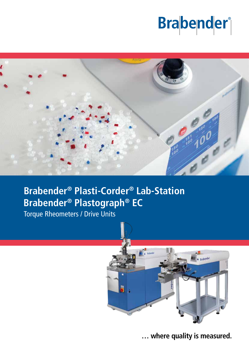# **Brabender**<sup>®</sup>



# **Brabender® Plasti-Corder® Lab-Station Brabender® Plastograph® EC**

Torque Rheometers / Drive Units



**… where quality is measured.**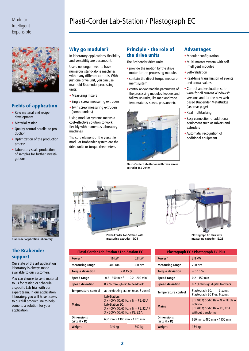

# Fields of application

- Raw material and recipe development
- Material testing
- Quality control parallel to production
- Optimization of the production process
- Laboratory-scale production of samples for further investigations



**Brabender application laboratory**

# The Brabender support

Our state of the art application laboratory is always made available to our customers.

You can choose to send material to us for testing or schedule a specific Lab Trial with our expert team. In our application laboratory, you will have access to our full product line to help come to a solution for your application.

# Modular **Plasti-Corder Lab-Station / Plastograph EC**

# Why go modular?

In laboratory applications, flexibility and versatility are paramount.

Users no longer need to have numerous stand-alone machines with many different controls. With just one drive unit, you can use manifold Brabender processing units:

- •Measuring mixers
- Single screw measuring extruders
- Twin screw measuring extruders (compounders)

Using modular systems means a cost-effective solution to work flexibly with numerous laboratory machines.

The core element of the versatile modular Brabender system are the drive units or torque rheometers.

## Principle - the role of the drive units

The Brabender drive units

- provide the motion by the drive motor for the processing modules
- contain the direct torque measurement system
- control and/or read the parameters of the processing modules, feeders and follow-up units, like melt and zone temperatures, speed, pressure etc.



**Plasti-Corder Lab-Station with twin screw extruder TSE 20/40** 

#### Advantages

- •Modular configuration
- •Multi-master system with selfintelligent modules
- Self-validation
- Real-time transmission of events and actual values
- •Control and evaluation software for all current Windows**®** versions and for the new webbased Brabender MetaBridge (see rear page)
- Real multitasking
- Easy connection of additional equipment such as mixers and extruders
- •Automatic recognition of additional equipment



**Plasti-Corder Lab-Station with measuring extruder 19/25**

| <b>Plasti-Corder Lab-Station / Lab-Station EC</b> |                                                                                                                                                               |                               |
|---------------------------------------------------|---------------------------------------------------------------------------------------------------------------------------------------------------------------|-------------------------------|
| Power*                                            | <b>16 kW</b>                                                                                                                                                  | 6.8 kW                        |
| <b>Measuring range</b>                            | 400 Nm                                                                                                                                                        | 300 Nm                        |
| <b>Torque deviation</b>                           | $\pm 0.15 \%$                                                                                                                                                 |                               |
| Speed range                                       | $0.2 - 350$ min <sup>-1</sup>                                                                                                                                 | $0.2 - 200$ min <sup>-1</sup> |
| <b>Speed deviation</b>                            | 0.2 % through digital feedback                                                                                                                                |                               |
| Temperature control                               | at the docking station (max. 8 zones)                                                                                                                         |                               |
| <b>Mains</b>                                      | Lab-Station:<br>$3 \times 400$ V, 50/60 Hz + N + PE, 63 A<br>Lab-Station EC:<br>$3 \times 400$ V, 50/60 Hz + N + PE, 32 A /<br>3 x 200 V, 50/60 Hz + PE, 32 A |                               |
| <b>Dimensions</b><br>$(W \times H \times D)$      | 630 mm x 1300 mm x 1170 mm                                                                                                                                    |                               |
| Weight                                            | 340 kg                                                                                                                                                        | 302 kg                        |



**Plastograph EC Plus with measuring extruder 19/25**

| <b>Plastograph EC / Plastograph EC Plus</b>  |                                                                                                                 |  |
|----------------------------------------------|-----------------------------------------------------------------------------------------------------------------|--|
| Power*                                       | 3.8 kW                                                                                                          |  |
| <b>Measuring range</b>                       | 200 Nm                                                                                                          |  |
| <b>Torque deviation</b>                      | $\pm$ 0.15 %                                                                                                    |  |
| Speed range                                  | $0.2 - 150$ min <sup>-1</sup>                                                                                   |  |
| <b>Speed deviation</b>                       | 0.2 % through digital feedback                                                                                  |  |
| Temperature control                          | Plastograph EC: 3 zones<br>Plastograph EC Plus: 6 zones                                                         |  |
| <b>Mains</b>                                 | $3 \times 400$ V, 50/60 Hz + N + PE, 32 A<br>optional:<br>3 x 200 V, 50/60 Hz + PE, 32 A<br>without transformer |  |
| <b>Dimensions</b><br>$(W \times H \times D)$ | 650 mm x 480 mm x 1150 mm                                                                                       |  |
| Weight                                       | 154 kg                                                                                                          |  |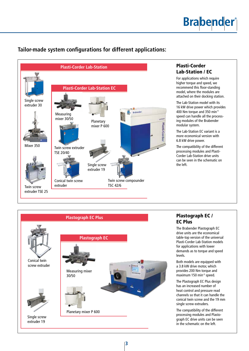# **Brabender**®

# **Tailor-made system configurations for different applications:**



# Plasti-Corder Lab-Station / EC

For applications which require higher torque and speed, we recommend this floor-standing model, where the modules are attached on their docking station.

The Lab-Station model with its 16 kW drive power which provides 400 Nm torque and 350 min**-1** speed can handle all the processing modules of the Brabender modular system.

The Lab-Station EC variant is a more economical version with 6.8 kW drive power.

The compatibility of the different processing modules and Plasti-Corder Lab-Station drive units can be seen in the schematic on the left.



# Plastograph EC / EC Plus

The Brabender Plastograph EC drive units are the economical table-top version of the universal Plasti-Corder Lab-Station models for applications with lower demands as to torque and speed levels.

Both models are equipped with a 3.8 kW drive motor, which provides 200 Nm torque and maximum 150 min**-1** speed.

The Plastograph EC Plus design has an increased number of heat control and pressure read channels so that it can handle the conical twin screw and the 19 mm single screw extruders.

The compatibility of the different processing modules and Plastograph EC drive units can be seen in the schematic on the left.